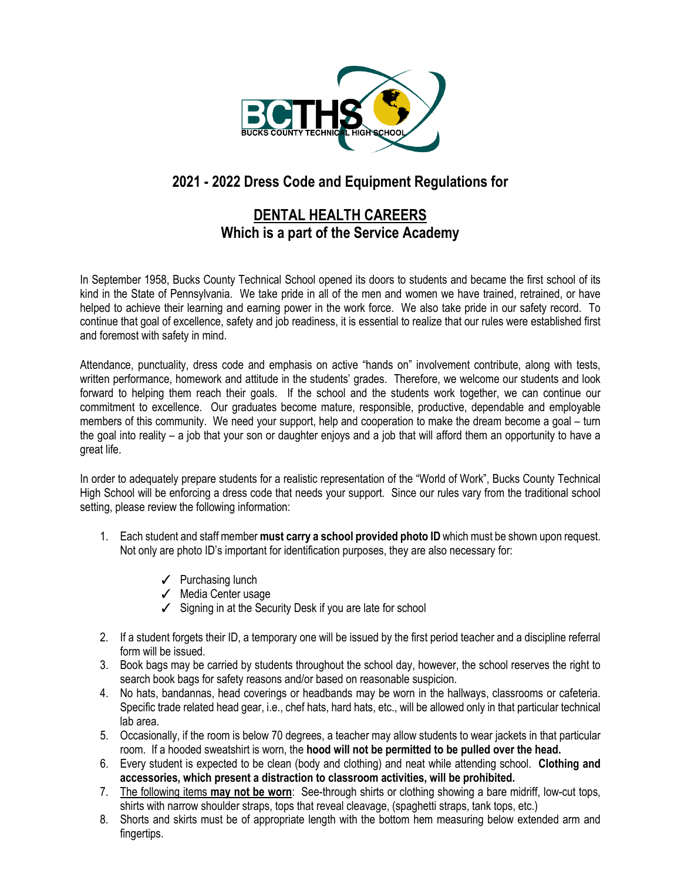

# **2021 - 2022 Dress Code and Equipment Regulations for**

## **DENTAL HEALTH CAREERS Which is a part of the Service Academy**

In September 1958, Bucks County Technical School opened its doors to students and became the first school of its kind in the State of Pennsylvania. We take pride in all of the men and women we have trained, retrained, or have helped to achieve their learning and earning power in the work force. We also take pride in our safety record. To continue that goal of excellence, safety and job readiness, it is essential to realize that our rules were established first and foremost with safety in mind.

Attendance, punctuality, dress code and emphasis on active "hands on" involvement contribute, along with tests, written performance, homework and attitude in the students' grades. Therefore, we welcome our students and look forward to helping them reach their goals. If the school and the students work together, we can continue our commitment to excellence. Our graduates become mature, responsible, productive, dependable and employable members of this community. We need your support, help and cooperation to make the dream become a goal – turn the goal into reality – a job that your son or daughter enjoys and a job that will afford them an opportunity to have a great life.

In order to adequately prepare students for a realistic representation of the "World of Work", Bucks County Technical High School will be enforcing a dress code that needs your support. Since our rules vary from the traditional school setting, please review the following information:

- 1. Each student and staff member **must carry a school provided photo ID** which must be shown upon request. Not only are photo ID's important for identification purposes, they are also necessary for:
	- ✓ Purchasing lunch
	- ✓ Media Center usage
	- ✓ Signing in at the Security Desk if you are late for school
- 2. If a student forgets their ID, a temporary one will be issued by the first period teacher and a discipline referral form will be issued.
- 3. Book bags may be carried by students throughout the school day, however, the school reserves the right to search book bags for safety reasons and/or based on reasonable suspicion.
- 4. No hats, bandannas, head coverings or headbands may be worn in the hallways, classrooms or cafeteria. Specific trade related head gear, i.e., chef hats, hard hats, etc., will be allowed only in that particular technical lab area.
- 5. Occasionally, if the room is below 70 degrees, a teacher may allow students to wear jackets in that particular room. If a hooded sweatshirt is worn, the **hood will not be permitted to be pulled over the head.**
- 6. Every student is expected to be clean (body and clothing) and neat while attending school. **Clothing and accessories, which present a distraction to classroom activities, will be prohibited.**
- 7. The following items **may not be worn**: See-through shirts or clothing showing a bare midriff, low-cut tops, shirts with narrow shoulder straps, tops that reveal cleavage, (spaghetti straps, tank tops, etc.)
- 8. Shorts and skirts must be of appropriate length with the bottom hem measuring below extended arm and fingertips.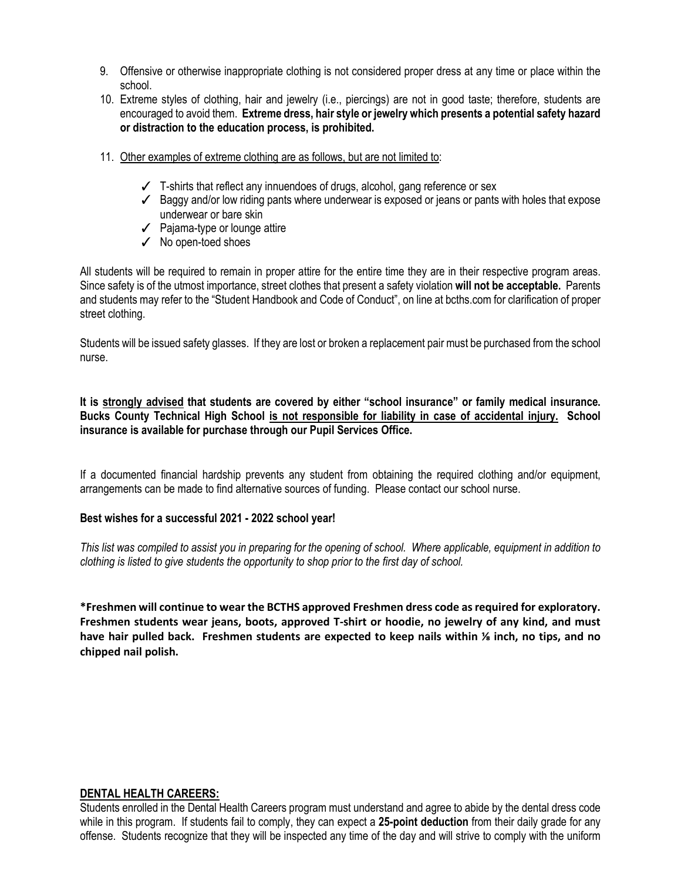- 9. Offensive or otherwise inappropriate clothing is not considered proper dress at any time or place within the school.
- 10. Extreme styles of clothing, hair and jewelry (i.e., piercings) are not in good taste; therefore, students are encouraged to avoid them. **Extreme dress, hair style or jewelry which presents a potential safety hazard or distraction to the education process, is prohibited.**
- 11. Other examples of extreme clothing are as follows, but are not limited to:
	- $\checkmark$  T-shirts that reflect any innuendoes of drugs, alcohol, gang reference or sex
	- ✓ Baggy and/or low riding pants where underwear is exposed or jeans or pants with holes that expose underwear or bare skin
	- ✓ Pajama-type or lounge attire
	- ✓ No open-toed shoes

All students will be required to remain in proper attire for the entire time they are in their respective program areas. Since safety is of the utmost importance, street clothes that present a safety violation **will not be acceptable.** Parents and students may refer to the "Student Handbook and Code of Conduct", on line at bcths.com for clarification of proper street clothing.

Students will be issued safety glasses. If they are lost or broken a replacement pair must be purchased from the school nurse.

**It is strongly advised that students are covered by either "school insurance" or family medical insurance. Bucks County Technical High School is not responsible for liability in case of accidental injury. School insurance is available for purchase through our Pupil Services Office.**

If a documented financial hardship prevents any student from obtaining the required clothing and/or equipment, arrangements can be made to find alternative sources of funding. Please contact our school nurse.

#### **Best wishes for a successful 2021 - 2022 school year!**

*This list was compiled to assist you in preparing for the opening of school. Where applicable, equipment in addition to clothing is listed to give students the opportunity to shop prior to the first day of school.*

**\*Freshmen will continue to wear the BCTHS approved Freshmen dress code as required for exploratory. Freshmen students wear jeans, boots, approved T-shirt or hoodie, no jewelry of any kind, and must have hair pulled back. Freshmen students are expected to keep nails within ⅛ inch, no tips, and no chipped nail polish.**

#### **DENTAL HEALTH CAREERS:**

Students enrolled in the Dental Health Careers program must understand and agree to abide by the dental dress code while in this program. If students fail to comply, they can expect a **25-point deduction** from their daily grade for any offense. Students recognize that they will be inspected any time of the day and will strive to comply with the uniform